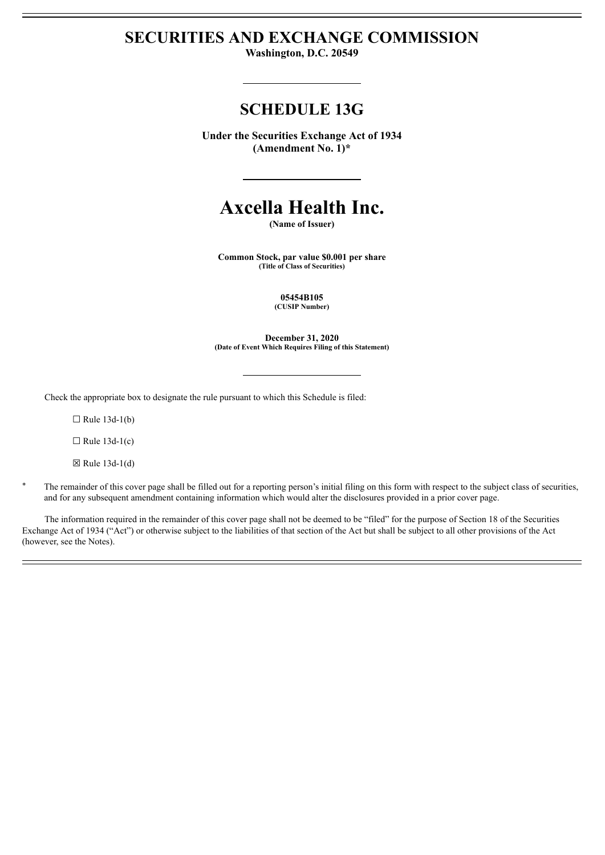# **SECURITIES AND EXCHANGE COMMISSION**

**Washington, D.C. 20549**

## **SCHEDULE 13G**

**Under the Securities Exchange Act of 1934 (Amendment No. 1)\***

# **Axcella Health Inc.**

**(Name of Issuer)**

**Common Stock, par value \$0.001 per share (Title of Class of Securities)**

> **05454B105 (CUSIP Number)**

**December 31, 2020 (Date of Event Which Requires Filing of this Statement)**

Check the appropriate box to designate the rule pursuant to which this Schedule is filed:

 $\Box$  Rule 13d-1(b)

 $\Box$  Rule 13d-1(c)

 $\boxtimes$  Rule 13d-1(d)

The remainder of this cover page shall be filled out for a reporting person's initial filing on this form with respect to the subject class of securities, and for any subsequent amendment containing information which would alter the disclosures provided in a prior cover page.

The information required in the remainder of this cover page shall not be deemed to be "filed" for the purpose of Section 18 of the Securities Exchange Act of 1934 ("Act") or otherwise subject to the liabilities of that section of the Act but shall be subject to all other provisions of the Act (however, see the Notes).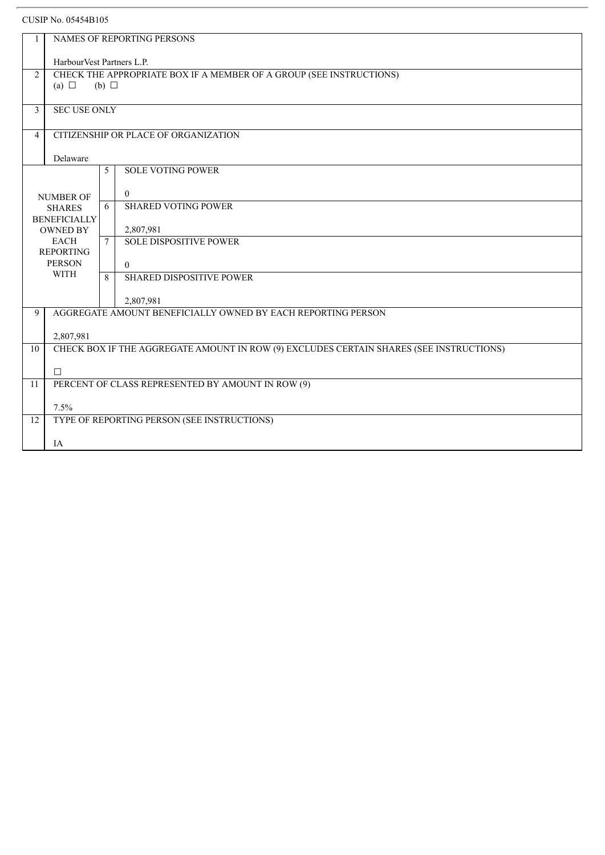| 1              |                                                                                         |        |                                                              |  |  |  |
|----------------|-----------------------------------------------------------------------------------------|--------|--------------------------------------------------------------|--|--|--|
|                | NAMES OF REPORTING PERSONS                                                              |        |                                                              |  |  |  |
|                | HarbourVest Partners L.P.                                                               |        |                                                              |  |  |  |
| 2              | CHECK THE APPROPRIATE BOX IF A MEMBER OF A GROUP (SEE INSTRUCTIONS)                     |        |                                                              |  |  |  |
|                | (a) $\Box$<br>$(b)$ $\square$                                                           |        |                                                              |  |  |  |
|                |                                                                                         |        |                                                              |  |  |  |
| $\overline{3}$ | <b>SEC USE ONLY</b>                                                                     |        |                                                              |  |  |  |
|                |                                                                                         |        |                                                              |  |  |  |
|                | CITIZENSHIP OR PLACE OF ORGANIZATION<br>$\overline{4}$                                  |        |                                                              |  |  |  |
|                | Delaware                                                                                |        |                                                              |  |  |  |
|                |                                                                                         | 5      | <b>SOLE VOTING POWER</b>                                     |  |  |  |
|                |                                                                                         |        |                                                              |  |  |  |
|                | <b>NUMBER OF</b>                                                                        |        | $\overline{0}$                                               |  |  |  |
|                | <b>SHARES</b>                                                                           |        | <b>SHARED VOTING POWER</b>                                   |  |  |  |
|                | <b>BENEFICIALLY</b>                                                                     |        |                                                              |  |  |  |
|                | <b>OWNED BY</b><br><b>EACH</b>                                                          | $\tau$ | 2,807,981<br><b>SOLE DISPOSITIVE POWER</b>                   |  |  |  |
|                | <b>REPORTING</b>                                                                        |        |                                                              |  |  |  |
|                | <b>PERSON</b>                                                                           |        | $\Omega$                                                     |  |  |  |
|                | <b>WITH</b>                                                                             |        | <b>SHARED DISPOSITIVE POWER</b>                              |  |  |  |
|                |                                                                                         |        |                                                              |  |  |  |
|                | 2,807,981                                                                               |        |                                                              |  |  |  |
| 9              |                                                                                         |        | AGGREGATE AMOUNT BENEFICIALLY OWNED BY EACH REPORTING PERSON |  |  |  |
|                | 2,807,981                                                                               |        |                                                              |  |  |  |
| 10             | CHECK BOX IF THE AGGREGATE AMOUNT IN ROW (9) EXCLUDES CERTAIN SHARES (SEE INSTRUCTIONS) |        |                                                              |  |  |  |
|                |                                                                                         |        |                                                              |  |  |  |
|                | $\Box$                                                                                  |        |                                                              |  |  |  |
| 11             | PERCENT OF CLASS REPRESENTED BY AMOUNT IN ROW (9)                                       |        |                                                              |  |  |  |
|                |                                                                                         |        |                                                              |  |  |  |
| 12             | 7.5%<br>TYPE OF REPORTING PERSON (SEE INSTRUCTIONS)                                     |        |                                                              |  |  |  |
|                |                                                                                         |        |                                                              |  |  |  |
|                | IA                                                                                      |        |                                                              |  |  |  |
|                |                                                                                         |        |                                                              |  |  |  |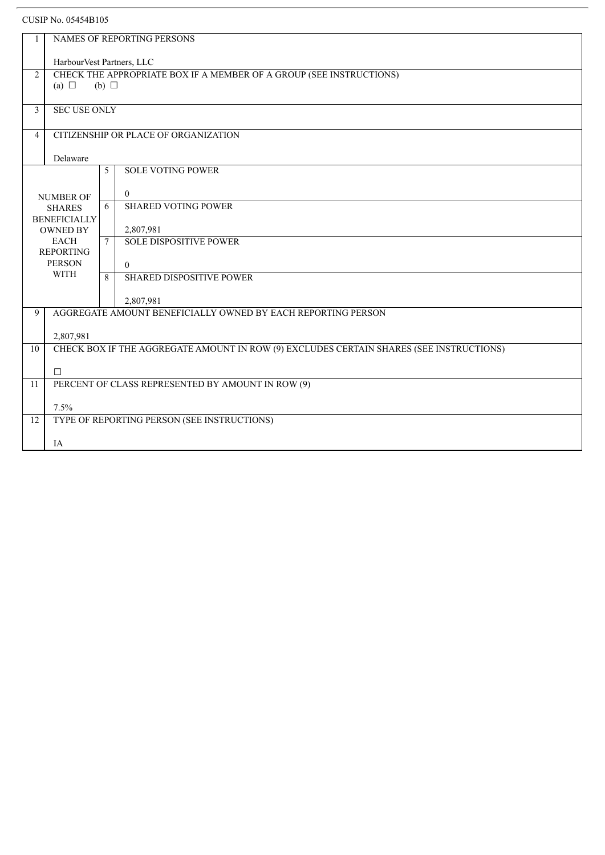|                | NAMES OF REPORTING PERSONS                                                              |                     |                                 |  |  |  |
|----------------|-----------------------------------------------------------------------------------------|---------------------|---------------------------------|--|--|--|
|                | HarbourVest Partners, LLC                                                               |                     |                                 |  |  |  |
| $\overline{2}$ | CHECK THE APPROPRIATE BOX IF A MEMBER OF A GROUP (SEE INSTRUCTIONS)                     |                     |                                 |  |  |  |
|                | (a) $\Box$<br>(b) $\Box$                                                                |                     |                                 |  |  |  |
|                |                                                                                         |                     |                                 |  |  |  |
| $\overline{3}$ |                                                                                         | <b>SEC USE ONLY</b> |                                 |  |  |  |
| $\overline{4}$ | CITIZENSHIP OR PLACE OF ORGANIZATION                                                    |                     |                                 |  |  |  |
|                | Delaware                                                                                |                     |                                 |  |  |  |
|                |                                                                                         | 5                   | <b>SOLE VOTING POWER</b>        |  |  |  |
|                |                                                                                         |                     | $\overline{0}$                  |  |  |  |
|                | <b>NUMBER OF</b><br><b>SHARES</b><br><b>BENEFICIALLY</b>                                |                     | <b>SHARED VOTING POWER</b>      |  |  |  |
|                |                                                                                         |                     |                                 |  |  |  |
|                | <b>OWNED BY</b>                                                                         | $\overline{7}$      | 2,807,981                       |  |  |  |
|                | <b>EACH</b><br><b>REPORTING</b>                                                         |                     | <b>SOLE DISPOSITIVE POWER</b>   |  |  |  |
|                | <b>PERSON</b>                                                                           |                     | $\Omega$                        |  |  |  |
|                | <b>WITH</b>                                                                             | $\mathbf{8}$        | <b>SHARED DISPOSITIVE POWER</b> |  |  |  |
|                |                                                                                         |                     | 2,807,981                       |  |  |  |
| 9              | AGGREGATE AMOUNT BENEFICIALLY OWNED BY EACH REPORTING PERSON                            |                     |                                 |  |  |  |
|                |                                                                                         |                     |                                 |  |  |  |
| 10             | 2,807,981                                                                               |                     |                                 |  |  |  |
|                | CHECK BOX IF THE AGGREGATE AMOUNT IN ROW (9) EXCLUDES CERTAIN SHARES (SEE INSTRUCTIONS) |                     |                                 |  |  |  |
|                | $\Box$                                                                                  |                     |                                 |  |  |  |
| 11             | PERCENT OF CLASS REPRESENTED BY AMOUNT IN ROW (9)                                       |                     |                                 |  |  |  |
|                |                                                                                         |                     |                                 |  |  |  |
| 12             | 7.5%<br>TYPE OF REPORTING PERSON (SEE INSTRUCTIONS)                                     |                     |                                 |  |  |  |
|                |                                                                                         |                     |                                 |  |  |  |
|                | IA                                                                                      |                     |                                 |  |  |  |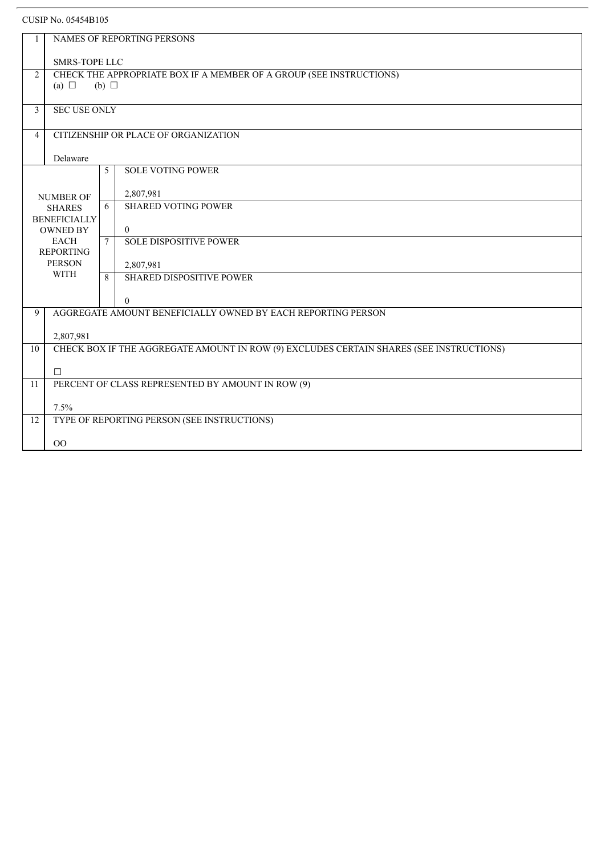|                | NAMES OF REPORTING PERSONS                                                                  |              |                                                 |  |  |
|----------------|---------------------------------------------------------------------------------------------|--------------|-------------------------------------------------|--|--|
|                |                                                                                             |              |                                                 |  |  |
| 2              | <b>SMRS-TOPE LLC</b><br>CHECK THE APPROPRIATE BOX IF A MEMBER OF A GROUP (SEE INSTRUCTIONS) |              |                                                 |  |  |
|                | (a) $\Box$<br>$(b)$ $\square$                                                               |              |                                                 |  |  |
|                |                                                                                             |              |                                                 |  |  |
| $\overline{3}$ | <b>SEC USE ONLY</b>                                                                         |              |                                                 |  |  |
| $\overline{4}$ | CITIZENSHIP OR PLACE OF ORGANIZATION                                                        |              |                                                 |  |  |
|                | Delaware                                                                                    |              |                                                 |  |  |
|                |                                                                                             | 5            | <b>SOLE VOTING POWER</b>                        |  |  |
|                |                                                                                             |              | 2,807,981                                       |  |  |
|                | <b>NUMBER OF</b><br><b>SHARES</b>                                                           |              | <b>SHARED VOTING POWER</b>                      |  |  |
|                | <b>BENEFICIALLY</b>                                                                         |              |                                                 |  |  |
|                | <b>OWNED BY</b><br><b>EACH</b>                                                              |              | $\overline{0}$<br><b>SOLE DISPOSITIVE POWER</b> |  |  |
|                | <b>REPORTING</b>                                                                            |              |                                                 |  |  |
|                | <b>PERSON</b><br><b>WITH</b>                                                                |              | 2,807,981                                       |  |  |
|                |                                                                                             | $\mathbf{8}$ | <b>SHARED DISPOSITIVE POWER</b>                 |  |  |
|                |                                                                                             |              | $\theta$                                        |  |  |
| 9              | AGGREGATE AMOUNT BENEFICIALLY OWNED BY EACH REPORTING PERSON                                |              |                                                 |  |  |
|                | 2,807,981                                                                                   |              |                                                 |  |  |
| 10             | CHECK BOX IF THE AGGREGATE AMOUNT IN ROW (9) EXCLUDES CERTAIN SHARES (SEE INSTRUCTIONS)     |              |                                                 |  |  |
|                |                                                                                             |              |                                                 |  |  |
| 11             | $\Box$<br>PERCENT OF CLASS REPRESENTED BY AMOUNT IN ROW (9)                                 |              |                                                 |  |  |
|                |                                                                                             |              |                                                 |  |  |
|                | 7.5%                                                                                        |              |                                                 |  |  |
| 12             |                                                                                             |              | TYPE OF REPORTING PERSON (SEE INSTRUCTIONS)     |  |  |
|                | $00\,$                                                                                      |              |                                                 |  |  |
|                |                                                                                             |              |                                                 |  |  |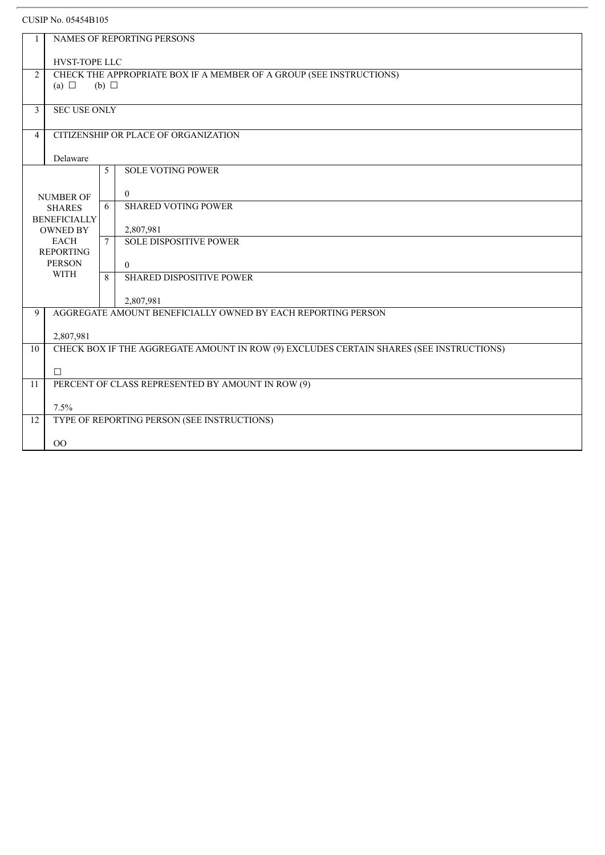| 1              |                                                                                                      |              | NAMES OF REPORTING PERSONS                   |  |  |  |
|----------------|------------------------------------------------------------------------------------------------------|--------------|----------------------------------------------|--|--|--|
|                |                                                                                                      |              |                                              |  |  |  |
|                | HVST-TOPE LLC                                                                                        |              |                                              |  |  |  |
| $\overline{2}$ | CHECK THE APPROPRIATE BOX IF A MEMBER OF A GROUP (SEE INSTRUCTIONS)                                  |              |                                              |  |  |  |
|                | (a) $\Box$<br>(b) $\Box$                                                                             |              |                                              |  |  |  |
| $\mathfrak{Z}$ | <b>SEC USE ONLY</b>                                                                                  |              |                                              |  |  |  |
|                |                                                                                                      |              |                                              |  |  |  |
| $\overline{4}$ | CITIZENSHIP OR PLACE OF ORGANIZATION                                                                 |              |                                              |  |  |  |
|                | Delaware                                                                                             |              |                                              |  |  |  |
|                |                                                                                                      | 5            | <b>SOLE VOTING POWER</b>                     |  |  |  |
|                |                                                                                                      |              |                                              |  |  |  |
|                | <b>NUMBER OF</b>                                                                                     | 6            | $\overline{0}$<br><b>SHARED VOTING POWER</b> |  |  |  |
|                | <b>SHARES</b><br><b>BENEFICIALLY</b>                                                                 |              |                                              |  |  |  |
|                | <b>OWNED BY</b>                                                                                      |              | 2,807,981                                    |  |  |  |
|                | <b>EACH</b>                                                                                          |              | <b>SOLE DISPOSITIVE POWER</b>                |  |  |  |
|                | <b>REPORTING</b><br><b>PERSON</b>                                                                    |              | $\theta$                                     |  |  |  |
|                | <b>WITH</b>                                                                                          | $\mathbf{R}$ | <b>SHARED DISPOSITIVE POWER</b>              |  |  |  |
|                |                                                                                                      |              |                                              |  |  |  |
|                | 2,807,981                                                                                            |              |                                              |  |  |  |
| 9              | AGGREGATE AMOUNT BENEFICIALLY OWNED BY EACH REPORTING PERSON                                         |              |                                              |  |  |  |
|                |                                                                                                      |              |                                              |  |  |  |
| 10             | 2,807,981<br>CHECK BOX IF THE AGGREGATE AMOUNT IN ROW (9) EXCLUDES CERTAIN SHARES (SEE INSTRUCTIONS) |              |                                              |  |  |  |
|                |                                                                                                      |              |                                              |  |  |  |
|                | $\Box$                                                                                               |              |                                              |  |  |  |
| 11             | PERCENT OF CLASS REPRESENTED BY AMOUNT IN ROW (9)                                                    |              |                                              |  |  |  |
|                | 7.5%                                                                                                 |              |                                              |  |  |  |
| 12             | TYPE OF REPORTING PERSON (SEE INSTRUCTIONS)                                                          |              |                                              |  |  |  |
|                |                                                                                                      |              |                                              |  |  |  |
|                | O <sub>O</sub>                                                                                       |              |                                              |  |  |  |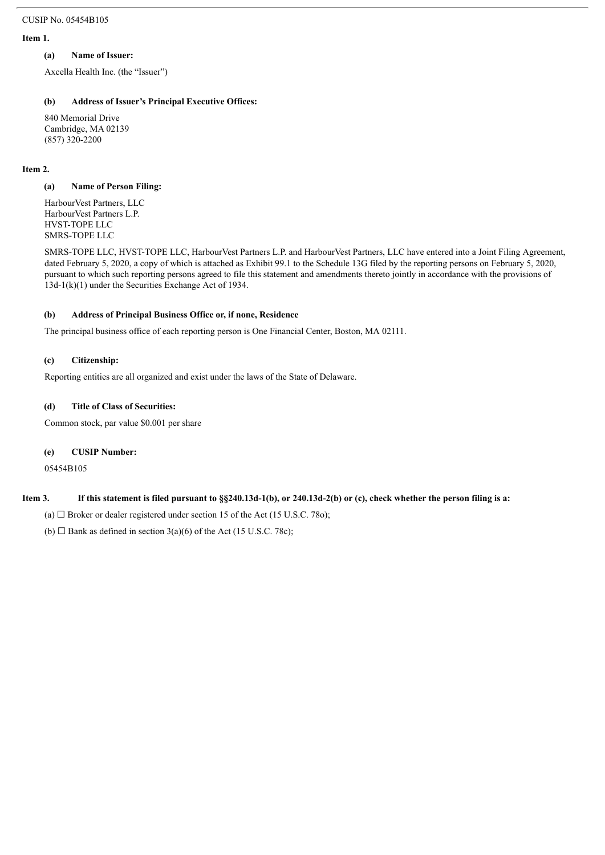#### **Item 1.**

#### **(a) Name of Issuer:**

Axcella Health Inc. (the "Issuer")

## **(b) Address of Issuer's Principal Executive Offices:**

840 Memorial Drive Cambridge, MA 02139 (857) 320-2200

#### **Item 2.**

#### **(a) Name of Person Filing:**

HarbourVest Partners, LLC HarbourVest Partners L.P. HVST-TOPE LLC SMRS-TOPE LLC

SMRS-TOPE LLC, HVST-TOPE LLC, HarbourVest Partners L.P. and HarbourVest Partners, LLC have entered into a Joint Filing Agreement, dated February 5, 2020, a copy of which is attached as Exhibit 99.1 to the Schedule 13G filed by the reporting persons on February 5, 2020, pursuant to which such reporting persons agreed to file this statement and amendments thereto jointly in accordance with the provisions of 13d-1(k)(1) under the Securities Exchange Act of 1934.

#### **(b) Address of Principal Business Office or, if none, Residence**

The principal business office of each reporting person is One Financial Center, Boston, MA 02111.

#### **(c) Citizenship:**

Reporting entities are all organized and exist under the laws of the State of Delaware.

#### **(d) Title of Class of Securities:**

Common stock, par value \$0.001 per share

#### **(e) CUSIP Number:**

05454B105

## Item 3. If this statement is filed pursuant to §§240.13d-1(b), or 240.13d-2(b) or (c), check whether the person filing is a:

(a)  $\Box$  Broker or dealer registered under section 15 of the Act (15 U.S.C. 78o);

(b)  $\Box$  Bank as defined in section 3(a)(6) of the Act (15 U.S.C. 78c);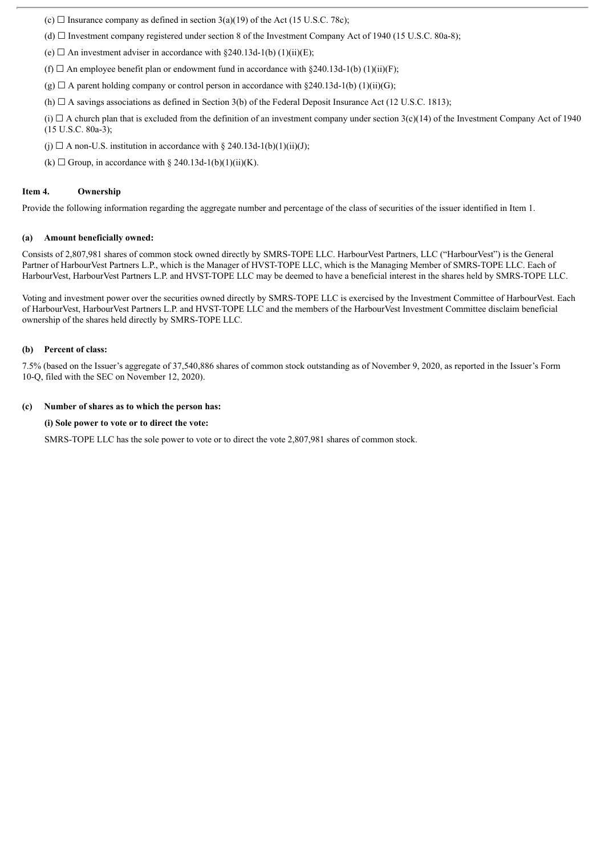(c)  $\Box$  Insurance company as defined in section 3(a)(19) of the Act (15 U.S.C. 78c);

(d)  $\Box$  Investment company registered under section 8 of the Investment Company Act of 1940 (15 U.S.C. 80a-8);

(e)  $\Box$  An investment adviser in accordance with §240.13d-1(b) (1)(ii)(E);

(f)  $\Box$  An employee benefit plan or endowment fund in accordance with §240.13d-1(b) (1)(ii)(F);

 $(g)$   $\Box$  A parent holding company or control person in accordance with §240.13d-1(b) (1)(ii)(G);

(h)  $\Box$  A savings associations as defined in Section 3(b) of the Federal Deposit Insurance Act (12 U.S.C. 1813);

(i)  $\Box$  A church plan that is excluded from the definition of an investment company under section 3(c)(14) of the Investment Company Act of 1940 (15 U.S.C. 80a-3);

(j)  $\Box$  A non-U.S. institution in accordance with § 240.13d-1(b)(1)(ii)(J);

(k)  $\Box$  Group, in accordance with § 240.13d-1(b)(1)(ii)(K).

#### **Item 4. Ownership**

Provide the following information regarding the aggregate number and percentage of the class of securities of the issuer identified in Item 1.

#### **(a) Amount beneficially owned:**

Consists of 2,807,981 shares of common stock owned directly by SMRS-TOPE LLC. HarbourVest Partners, LLC ("HarbourVest") is the General Partner of HarbourVest Partners L.P., which is the Manager of HVST-TOPE LLC, which is the Managing Member of SMRS-TOPE LLC. Each of HarbourVest, HarbourVest Partners L.P. and HVST-TOPE LLC may be deemed to have a beneficial interest in the shares held by SMRS-TOPE LLC.

Voting and investment power over the securities owned directly by SMRS-TOPE LLC is exercised by the Investment Committee of HarbourVest. Each of HarbourVest, HarbourVest Partners L.P. and HVST-TOPE LLC and the members of the HarbourVest Investment Committee disclaim beneficial ownership of the shares held directly by SMRS-TOPE LLC.

#### **(b) Percent of class:**

7.5% (based on the Issuer's aggregate of 37,540,886 shares of common stock outstanding as of November 9, 2020, as reported in the Issuer's Form 10-Q, filed with the SEC on November 12, 2020).

#### **(c) Number of shares as to which the person has:**

#### **(i) Sole power to vote or to direct the vote:**

SMRS-TOPE LLC has the sole power to vote or to direct the vote 2,807,981 shares of common stock.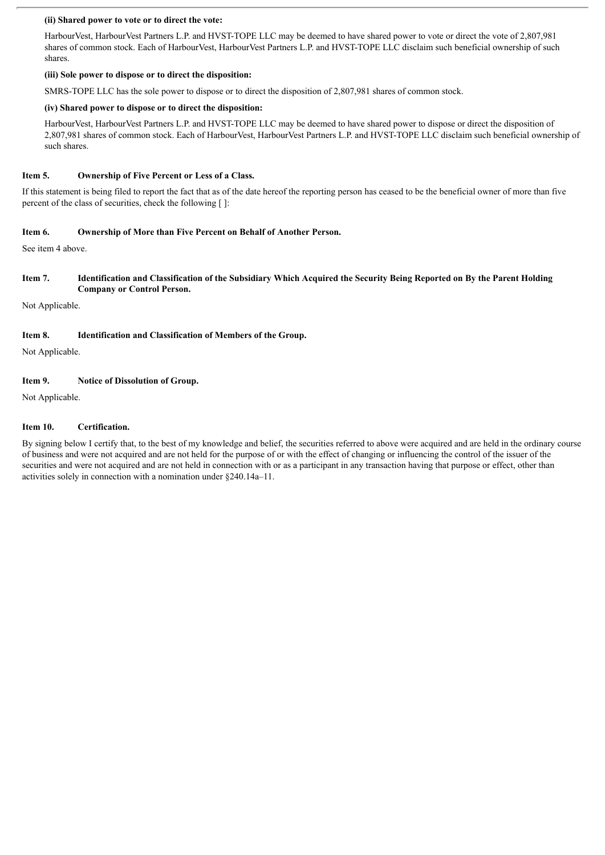#### **(ii) Shared power to vote or to direct the vote:**

HarbourVest, HarbourVest Partners L.P. and HVST-TOPE LLC may be deemed to have shared power to vote or direct the vote of 2,807,981 shares of common stock. Each of HarbourVest, HarbourVest Partners L.P. and HVST-TOPE LLC disclaim such beneficial ownership of such shares.

#### **(iii) Sole power to dispose or to direct the disposition:**

SMRS-TOPE LLC has the sole power to dispose or to direct the disposition of 2,807,981 shares of common stock.

#### **(iv) Shared power to dispose or to direct the disposition:**

HarbourVest, HarbourVest Partners L.P. and HVST-TOPE LLC may be deemed to have shared power to dispose or direct the disposition of 2,807,981 shares of common stock. Each of HarbourVest, HarbourVest Partners L.P. and HVST-TOPE LLC disclaim such beneficial ownership of such shares.

## **Item 5. Ownership of Five Percent or Less of a Class.**

If this statement is being filed to report the fact that as of the date hereof the reporting person has ceased to be the beneficial owner of more than five percent of the class of securities, check the following [ ]:

#### **Item 6. Ownership of More than Five Percent on Behalf of Another Person.**

See item 4 above.

#### Item 7. Identification and Classification of the Subsidiary Which Acquired the Security Being Reported on By the Parent Holding **Company or Control Person.**

Not Applicable.

## **Item 8. Identification and Classification of Members of the Group.**

Not Applicable.

## **Item 9. Notice of Dissolution of Group.**

Not Applicable.

#### **Item 10. Certification.**

By signing below I certify that, to the best of my knowledge and belief, the securities referred to above were acquired and are held in the ordinary course of business and were not acquired and are not held for the purpose of or with the effect of changing or influencing the control of the issuer of the securities and were not acquired and are not held in connection with or as a participant in any transaction having that purpose or effect, other than activities solely in connection with a nomination under §240.14a–11.